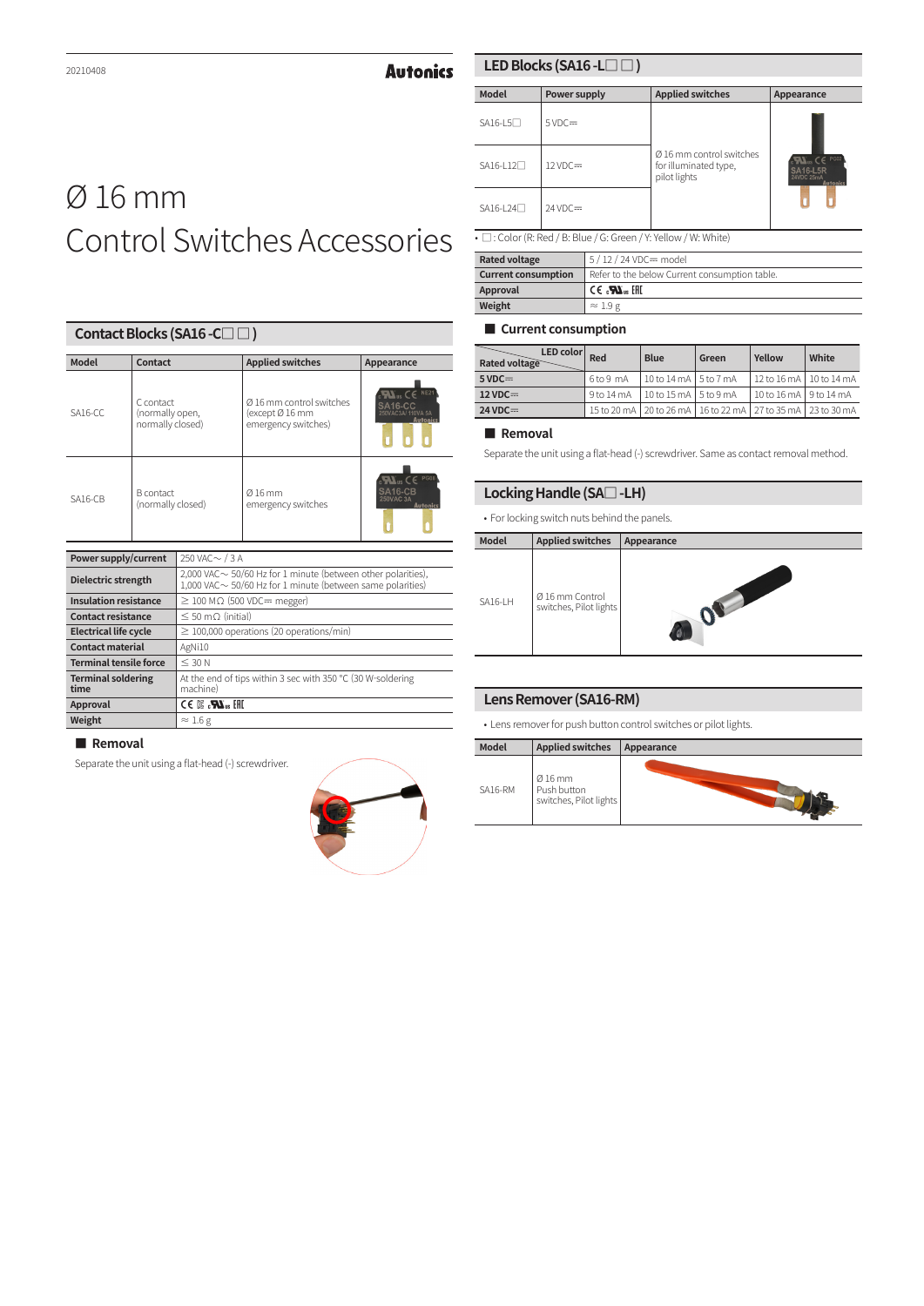**Autonics** 

# Ø 16 mm Control Switches Accessories

|                                                                                    | Contact Blocks (SA16 - C□□)                      |                                                                                                                                   |                                                                    |                                                                       |  |  |
|------------------------------------------------------------------------------------|--------------------------------------------------|-----------------------------------------------------------------------------------------------------------------------------------|--------------------------------------------------------------------|-----------------------------------------------------------------------|--|--|
| <b>Model</b>                                                                       | Contact                                          |                                                                                                                                   | <b>Applied switches</b>                                            | Appearance                                                            |  |  |
| $SA16-CC$                                                                          | C contact<br>(normally open,<br>normally closed) |                                                                                                                                   | Ø 16 mm control switches<br>(except Ø 16 mm<br>emergency switches) | <b>NE21</b><br><b>SA16-CC</b><br>250VAC3A/110VA 5A<br><b>Autonics</b> |  |  |
| <b>SA16-CB</b>                                                                     | <b>B</b> contact<br>(normally closed)            |                                                                                                                                   | Ø16 mm<br>emergency switches                                       | us $CF$ PG08<br>SA <sub>16-CB</sub><br><b>250VAC 3A</b><br>Autonics   |  |  |
| Power supply/current                                                               |                                                  | 250 VAC $\sim$ / 3 A                                                                                                              |                                                                    |                                                                       |  |  |
| Dielectric strength                                                                |                                                  | 2,000 VAC $\sim$ 50/60 Hz for 1 minute (between other polarities),<br>1,000 VAC ~ 50/60 Hz for 1 minute (between same polarities) |                                                                    |                                                                       |  |  |
| <b>Insulation resistance</b>                                                       |                                                  | $\geq$ 100 M $\Omega$ (500 VDC= megger)                                                                                           |                                                                    |                                                                       |  |  |
| <b>Contact resistance</b>                                                          |                                                  | $\leq 50$ m $\circ$ (initial)                                                                                                     |                                                                    |                                                                       |  |  |
| <b>Electrical life cycle</b>                                                       |                                                  |                                                                                                                                   | $\geq$ 100,000 operations (20 operations/min)                      |                                                                       |  |  |
| <b>Contact material</b>                                                            |                                                  | AgNi10                                                                                                                            |                                                                    |                                                                       |  |  |
| <b>Terminal tensile force</b><br>$<$ 30 $N$                                        |                                                  |                                                                                                                                   |                                                                    |                                                                       |  |  |
| <b>Terminal soldering</b><br>machine)<br>time                                      |                                                  | At the end of tips within 3 sec with 350 °C (30 W-soldering                                                                       |                                                                    |                                                                       |  |  |
| $\mathbb{H}$ , $\mathbb{Z}$ , $\mathbb{Z}$ $\rightarrow$ $\rightarrow$<br>Approval |                                                  |                                                                                                                                   |                                                                    |                                                                       |  |  |
| Weight                                                                             |                                                  | $\approx$ 1.6 g                                                                                                                   |                                                                    |                                                                       |  |  |

#### **■ Removal**

Separate the unit using a flat-head (-) screwdriver.

# **LED Blocks (SA16 -L□ □ )**

| <b>Model</b>          | Power supply       | <b>Applied switches</b>                                           | Appearance                                              |
|-----------------------|--------------------|-------------------------------------------------------------------|---------------------------------------------------------|
| $SA16-L5$             | $5VDC =$           |                                                                   |                                                         |
| SA16-L12 <sup>1</sup> | $12 \text{ VDC} =$ | Ø 16 mm control switches<br>for illuminated type,<br>pilot lights | $CE$ PG02<br>3A16-I 5R<br>24VDC 25mA<br><b>Autonics</b> |
| SA16-L24 <sup>1</sup> | $24 \text{ VDC} =$ |                                                                   |                                                         |

• □ : Color (R: Red / B: Blue / G: Green / Y: Yellow / W: White)

| <b>Rated voltage</b>       | 5/12/24 VDC= model                             |
|----------------------------|------------------------------------------------|
| <b>Current consumption</b> | Refer to the below Current consumption table.  |
| Approval                   | $\mathbb{H}$ and $\mathbb{Z}$ and $\mathbb{Z}$ |
| Weight                     | $\approx$ 1.9 g                                |

#### **■ Current consumption**

| LED color Red<br>Rated voltage |              | <b>Blue</b>             | Green                                                       | Yellow                    | White |
|--------------------------------|--------------|-------------------------|-------------------------------------------------------------|---------------------------|-------|
| $5 \text{ VDC} =$              | 6 to 9 mA    | 10 to 14 mA   5 to 7 mA |                                                             | 12 to 16 mA   10 to 14 mA |       |
| $12 \text{ VDC} =$             | $9$ to 14 mA | 10 to 15 mA   5 to 9 mA |                                                             | 10 to 16 mA   9 to 14 mA  |       |
| $24 \text{ VDC} =$             |              |                         | 15 to 20 mA 20 to 26 mA 26 to 22 mA 27 to 35 mA 23 to 30 mA |                           |       |

# **■ Removal**

Separate the unit using a flat-head (-) screwdriver. Same as contact removal method.

# **Locking Handle (SA□ -LH)**

• For locking switch nuts behind the panels.



#### **Lens Remover (SA16-RM)**

• Lens remover for push button control switches or pilot lights.

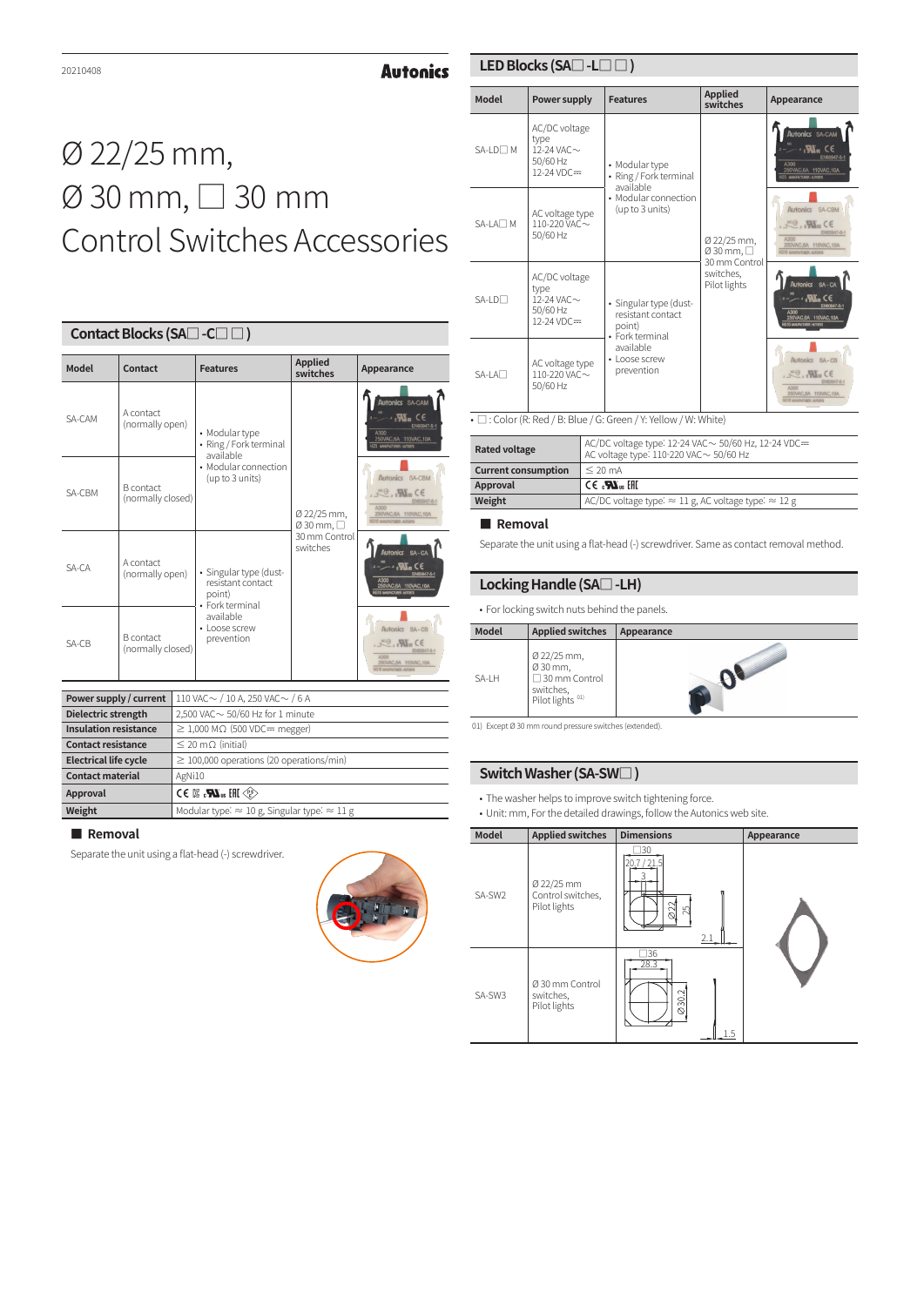**Autonics** 

#### **LED Blocks (SA□ -L□ □ )**

# Ø 22/25 mm, Ø 30 mm, □ 30 mm Control Switches Accessories

| Contact Blocks (SA□ -C□ □) |                                       |                                                                          |                            |                                                                                                                          |  |
|----------------------------|---------------------------------------|--------------------------------------------------------------------------|----------------------------|--------------------------------------------------------------------------------------------------------------------------|--|
| Model                      | Contact                               | <b>Features</b>                                                          | <b>Applied</b><br>switches | Appearance                                                                                                               |  |
| SA-CAM                     | A contact<br>(normally open)          | • Modular type<br>• Ring / Fork terminal<br>available                    | Ø 22/25 mm,<br>Ø 30 mm, □  | Autonics SA-CAM<br>∗.W. C€<br>EN60947-5-1<br>A300<br>250VAC,6A 110VAC,10A<br><b>23 MAILFACTURER: AUTOBIS</b>             |  |
| SA-CBM                     | <b>B</b> contact<br>(normally closed) | • Modular connection<br>(up to 3 units)                                  |                            | Autonics SA-CBM<br>$R^{\text{m}}$ . We ce<br>EN80947-5-1<br>A300<br>250VAC.6A 110VAC.10A<br><b>110 MARIOTASTIC MIDSY</b> |  |
| $SA-CA$                    | A contact<br>(normally open)          | · Singular type (dust-<br>resistant contact<br>point)<br>• Fork terminal | 30 mm Control<br>switches  | Autonics SA-CA<br>$\sim$ $\mathbf{M}$ $\in$<br>EN80947-5-1<br>A300<br>250VAC, 6A 110VAC, 10A<br>G10 WALFACTURER-AUTOR    |  |
| $SA-CB$                    | <b>B</b> contact<br>(normally closed) | available<br>• Loose screw<br>prevention                                 |                            | Autonics SA-CB<br>$R^{\text{LO}}$ . W. CE<br>EN00947-6-1<br>250VAC,6A 110VAC,10A<br><b>G16 MINUFACTURER: AUTOBY</b>      |  |

| Power supply / current       | $110$ VAC $\sim$ / 10 A, 250 VAC $\sim$ / 6 A                               |
|------------------------------|-----------------------------------------------------------------------------|
| Dielectric strength          | 2.500 VAC $\sim$ 50/60 Hz for 1 minute                                      |
| <b>Insulation resistance</b> | $\geq$ 1,000 M $\Omega$ (500 VDC= megger)                                   |
| <b>Contact resistance</b>    | $\leq$ 20 m $\Omega$ (initial)                                              |
| <b>Electrical life cycle</b> | $\geq$ 100,000 operations (20 operations/min)                               |
| <b>Contact material</b>      | AgNi10                                                                      |
| Approval                     | $\ll$ $\gg$ JH $_{\text{au}}$ $\mathbf{M}$ $_{\text{au}}$ $\approx$ 3 3 3 3 |
| Weight                       | Modular type: $\approx 10$ g, Singular type: $\approx 11$ g                 |

#### **■ Removal**

Separate the unit using a flat-head (-) screwdriver.



| <b>Model</b>          | Power supply                                                        | <b>Features</b>                                             | <b>Applied</b><br>switches                 | Appearance                                                                                                                                               |
|-----------------------|---------------------------------------------------------------------|-------------------------------------------------------------|--------------------------------------------|----------------------------------------------------------------------------------------------------------------------------------------------------------|
| $SA-I$ $D \Box M$     | AC/DC voltage<br>type<br>12-24 VAC $\sim$<br>50/60 Hz<br>12-24 VDC= | • Modular type<br>• Ring / Fork terminal                    |                                            | <b>Autonics SA-CAM</b><br>$\cdot$ M. CE<br>EN60947-5-1<br>A300<br>250VAC, 6A 110VAC, 10A<br><b>123 MANUFACTURER - AUTORYS</b>                            |
| $SA-I$ $A$ $\Box$ $M$ | AC voltage type<br>110-220 VAC~<br>50/60 Hz                         | available<br>• Modular connection<br>(up to 3 units)        | Ø 22/25 mm,<br>Ø 30 mm, □                  | Autonics SA-CBM<br>$FC$ . W <sub>m</sub> $CE$<br>EN80947-5-1<br>A300<br>250VAC, 6A 110VAC, 10A<br>316 NAVERCTURES-AUTORIS                                |
| $SA-I$ $D$ $\Box$     | AC/DC voltage<br>type<br>12-24 VAC~<br>50/60 Hz<br>12-24 VDC=       | · Singular type (dust-<br>resistant contact<br>point)       | 30 mm Control<br>switches.<br>Pilot lights | Autonics SA-CA<br>$ \sim$ $\sim$ $\sim$ $\sim$ $\sim$ $\sim$ $\sim$<br>EN60947-5-1<br><b>A300</b><br>250VAC, 6A 110VAC, 10A<br>G10 MANUFACTURER: AUTOEVE |
| $SA-I$ $A$            | AC voltage type<br>110-220 VAC $\sim$<br>50/60 Hz                   | • Fork terminal<br>available<br>· Loose screw<br>prevention |                                            | Autonics SA-CB<br>$R^{\Theta}$ . W. CE<br>EN00947-5-1<br>A300<br>250VAC.6A 110VAC.10A<br>G16 NAVENCTURER: AUTORY                                         |

•  $\square$ : Color (R: Red / B: Blue / G: Green / Y: Yellow / W: White)

| <b>Rated voltage</b>       | AC/DC voltage type: 12-24 VAC $\sim$ 50/60 Hz, 12-24 VDC==<br>AC voltage type: $110-220$ VAC $\sim$ 50/60 Hz |
|----------------------------|--------------------------------------------------------------------------------------------------------------|
| <b>Current consumption</b> | $<$ 20 mA                                                                                                    |
| Approval                   | $CE \cdot \mathbf{W}$ is $HH$                                                                                |
| Weight                     | AC/DC voltage type: $\approx$ 11 g, AC voltage type: $\approx$ 12 g                                          |

# **■ Removal**

Separate the unit using a flat-head (-) screwdriver. Same as contact removal method.

# **Locking Handle (SA□ -LH)**

• For locking switch nuts behind the panels.

| Model | <b>Applied switches</b>                                                              | Appearance |
|-------|--------------------------------------------------------------------------------------|------------|
| SA-LH | Ø 22/25 mm,<br>Ø 30 mm,<br>30 mm Control<br>switches,<br>Pilot lights <sup>01)</sup> |            |

01) Except Ø 30 mm round pressure switches (extended).

#### **Switch Washer (SA-SW□ )**

• The washer helps to improve switch tightening force.

• Unit: mm, For the detailed drawings, follow the Autonics web site.